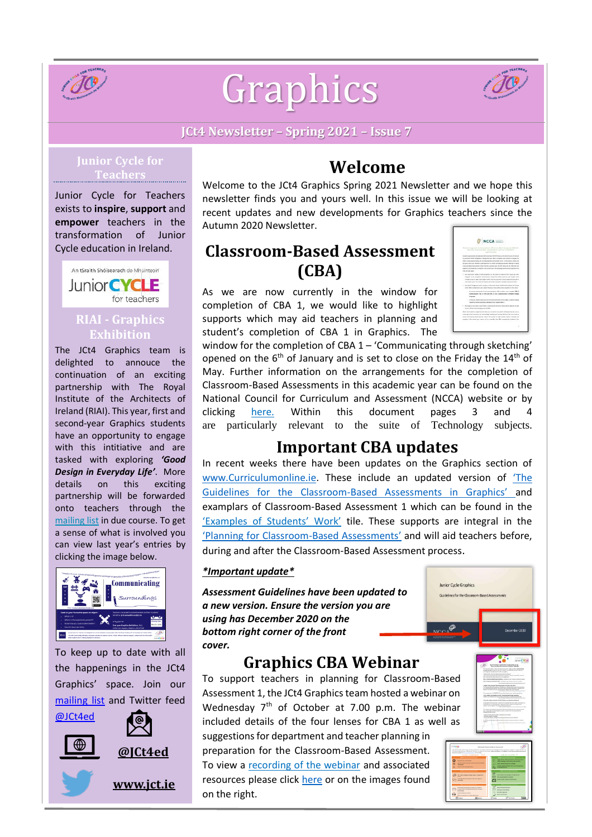

# Graphics



#### **JCt4 Newsletter – Spring 2021 – Issue 7**

#### **Junior Cycle for Teachers**

Junior Cycle for Teachers exists to **inspire**, **support** and **empower** teachers in the transformation of Junior Cycle education in Ireland.



#### **RIAI - Graphics Exhibition**

The JCt4 Graphics team is delighted to annouce the continuation of an exciting partnership with The Royal Institute of the Architects of Ireland (RIAI). This year, first and second-year Graphics students have an opportunity to engage with this intitiative and are tasked with exploring *'Good Design in Everyday Life'*. More details on this exciting partnership will be forwarded onto teachers through the [mailing](https://docs.google.com/forms/d/1Qy2bpfqL6a5-k-qMYT_MtP0NL0oxLNUZKlxq1hI_gzY/viewform?edit_requested=true) list in due course. To get a sense of what is involved you can view last year's entries by clicking the image below.



To keep up to date with all the happenings in the JCt4 Graphics' space. Join our [mailing](https://docs.google.com/forms/d/1Qy2bpfqL6a5-k-qMYT_MtP0NL0oxLNUZKlxq1hI_gzY/viewform?edit_requested=true) list and Twitter feed









**[www.jct.ie](http://www.jct.ie/)** 

## **Welcome**

Welcome to the JCt4 Graphics Spring 2021 Newsletter and we hope this newsletter finds you and yours well. In this issue we will be looking at recent updates and new developments for Graphics teachers since the Autumn 2020 Newsletter.

## **Classroom-Based Assessment (CBA)**

As we are now currently in the window for completion of CBA 1, we would like to highlight supports which may aid teachers in planning and student's completion of CBA 1 in Graphics. The

|                                                                                                                    | NCCA |  |
|--------------------------------------------------------------------------------------------------------------------|------|--|
|                                                                                                                    |      |  |
| Bestund accumulation for the competitor of Canadam Based Automotive/CEAst for                                      |      |  |
| - Harrywood include 1936 - 2011 triume is led too in Milano 23 -<br>lasticular that                                |      |  |
| Students associated advanced period of parents in \$100 follows are of about deputy introduced                     |      |  |
| to curled the COND 27 pandemy. Senate the best effects of teachers and wheels to retirade the                      |      |  |
| effects of also prestigationship. We having more tarted of audiomic parks, in this person, wheels and              |      |  |
| this year's limit your students and experience an yellar and disposant to national in horing                       |      |  |
| University from Augustus Editor/See the exploration of EDIS show with the Objective for                            |      |  |
| scalents you (ESI) to consider in this interface. The following promotes programmed for                            |      |  |
| Distant war mate:                                                                                                  |      |  |
| 1. By residenced realist to the sympatrics for the caturi of duskets that want has been                            |      |  |
| sharped in the executional column beast arons from achief children, such shaded must                               |      |  |
| (Objetts pris city CBI in sach adject infine "Stat The stud two in dark subsit and jobs CBA is")                   |      |  |
| and show cluster, was called all relationships for businessment complete dependent from                            |      |  |
| # The school management and its teachers, in discussion which booking with products, and checker                   |      |  |
| artists (Bellin complete for said schools. Newcast: New will be noted paradictes on this choice)                   |      |  |
| to recor assumed at an complexion titls makes mail condita CAL2.                                                   |      |  |
| Communication Fash in texts and CRA 1- Out Communication in Modern Paintings<br>양 사람은 아직 나는 사람이 생각하게 하고 있어 오셨다. 장면 |      |  |
| <b>Leagues</b>                                                                                                     |      |  |
| - California that is an input of the Net exempts in the table to sum in current                                    |      |  |
| West art dealer freezends, and Music dust consists that it                                                         |      |  |
| the income of the surge Costs Profits of Administrator (\$195) for \$001 will be adjusted to later.                |      |  |
| sense almosted characters in the                                                                                   |      |  |
| Shine twee specific progressions by CBIs are a response to a specific dockings, they also are to                   |      |  |
| knowledge oftent automotive and adventisings talacking and blancing abstracts that owns mush at                    |      |  |
| labout brant divine school standard reduce the involve of 1980s returns could be actually and                      |      |  |
| provides in this coloral year, mayor, on the us annulus, that (Silk potentional by markets in the                  |      |  |

window for the completion of CBA 1 – 'Communicating through sketching' opened on the 6<sup>th</sup> of January and is set to close on the Friday the 14<sup>th</sup> of May. Further information on the arrangements for the completion of Classroom-Based Assessments in this academic year can be found on the National Council for Curriculum and Assessment (NCCA) website or by clicking [here](https://ncca.ie/media/4817/ncca_cbas_for_student_cohort_2018-2021.pdf). Within this document pages 3 and 4 are particularly relevant to the suite of Technology subjects.

## **Important CBA updates**

In recent weeks there have been updates on the Graphics section of [www.Curriculumonline.ie.](http://www.curriculumonline.ie/) These include an updated version of ['The](https://www.curriculumonline.ie/getmedia/5786eebe-1e74-4661-ba29-66b6968db6a4/Graphics-AG.pdf)  Guidelines for the Classroom-[Based Assessments in Graphics'](https://www.curriculumonline.ie/getmedia/5786eebe-1e74-4661-ba29-66b6968db6a4/Graphics-AG.pdf) and examplars of Classroom-Based Assessment 1 which can be found in the 'Examples [of Students](https://www.curriculumonline.ie/Junior-cycle/Junior-Cycle-Subjects/Graphics/Examples-of-Student-Work/)' Work' tile. These supports are integral in the ['Planning for Classroom](https://www.jct.ie/perch/resources/technologies/planning-for-classroom-based-assessments-graphics-webinar-resource.pdf)-Based Assessments' and will aid teachers before, during and after the Classroom-Based Assessment process.

#### *\*Important update\**

*Assessment Guidelines have been upd[ated to](https://www.curriculumonline.ie/getmedia/5786eebe-1e74-4661-ba29-66b6968db6a4/Graphics-AG.pdf)  a new version. Ensure the version you are using has December 2020 on the bottom right corner of the front cover.* 

#### **Graphics CBA Webinar**

To support teachers in planning for Classroom-Based Assessment 1, the JCt4 Graphics team hosted a webinar on Wednesday  $7<sup>th</sup>$  of October at 7.00 p.m. The webinar included details of the four lenses for CBA 1 as well as

suggestions for department and teacher planning in preparation for the Classroom-Based Assessment. To view a [recording of the webinar](https://www.jct.ie/technologies/cpd_supports_graphics_elective_workshops#WebinarRecording) and associated resources please click [here](https://www.jct.ie/technologies/cpd_supports_graphics_elective_workshops#WebinarRecording) or on the images found on the right.



Junior Cycle Graphics

NCCA<sup>O</sup>